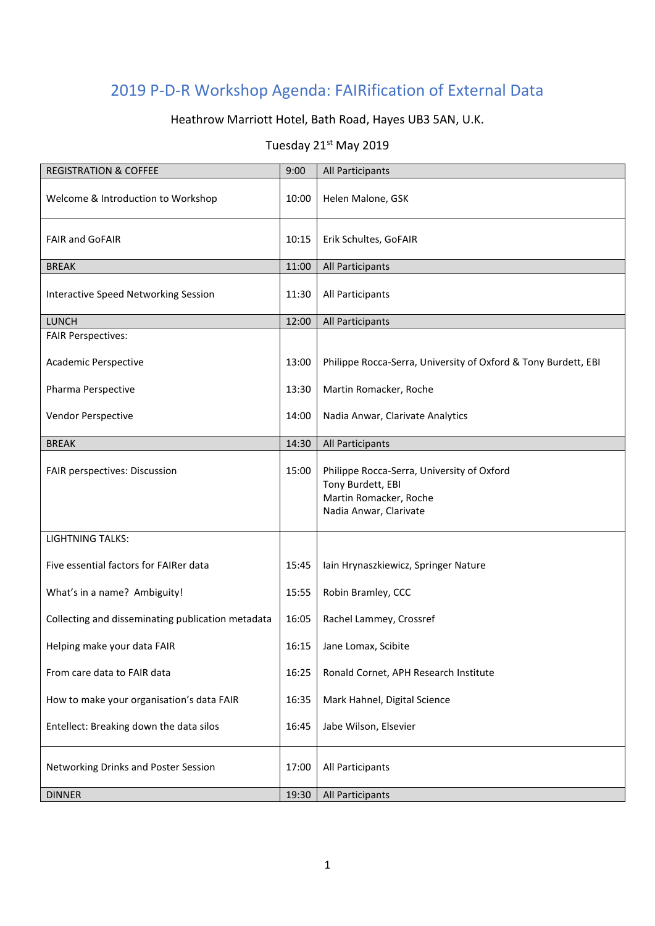## 2019 P-D-R Workshop Agenda: FAIRification of External Data

## Heathrow Marriott Hotel, Bath Road, Hayes UB3 5AN, U.K.

## Tuesday 21st May 2019

| <b>REGISTRATION &amp; COFFEE</b>                  | 9:00  | All Participants                                                                                                    |
|---------------------------------------------------|-------|---------------------------------------------------------------------------------------------------------------------|
| Welcome & Introduction to Workshop                | 10:00 | Helen Malone, GSK                                                                                                   |
| <b>FAIR and GoFAIR</b>                            | 10:15 | Erik Schultes, GoFAIR                                                                                               |
| <b>BREAK</b>                                      | 11:00 | All Participants                                                                                                    |
| Interactive Speed Networking Session              | 11:30 | All Participants                                                                                                    |
| <b>LUNCH</b>                                      | 12:00 | All Participants                                                                                                    |
| <b>FAIR Perspectives:</b>                         |       |                                                                                                                     |
| Academic Perspective                              | 13:00 | Philippe Rocca-Serra, University of Oxford & Tony Burdett, EBI                                                      |
| Pharma Perspective                                | 13:30 | Martin Romacker, Roche                                                                                              |
| Vendor Perspective                                | 14:00 | Nadia Anwar, Clarivate Analytics                                                                                    |
| <b>BREAK</b>                                      | 14:30 | All Participants                                                                                                    |
| FAIR perspectives: Discussion                     | 15:00 | Philippe Rocca-Serra, University of Oxford<br>Tony Burdett, EBI<br>Martin Romacker, Roche<br>Nadia Anwar, Clarivate |
| <b>LIGHTNING TALKS:</b>                           |       |                                                                                                                     |
| Five essential factors for FAIRer data            | 15:45 | Iain Hrynaszkiewicz, Springer Nature                                                                                |
| What's in a name? Ambiguity!                      | 15:55 | Robin Bramley, CCC                                                                                                  |
| Collecting and disseminating publication metadata | 16:05 | Rachel Lammey, Crossref                                                                                             |
| Helping make your data FAIR                       | 16:15 | Jane Lomax, Scibite                                                                                                 |
| From care data to FAIR data                       | 16:25 | Ronald Cornet, APH Research Institute                                                                               |
| How to make your organisation's data FAIR         | 16:35 | Mark Hahnel, Digital Science                                                                                        |
| Entellect: Breaking down the data silos           | 16:45 | Jabe Wilson, Elsevier                                                                                               |
| Networking Drinks and Poster Session              | 17:00 | All Participants                                                                                                    |
| <b>DINNER</b>                                     | 19:30 | All Participants                                                                                                    |